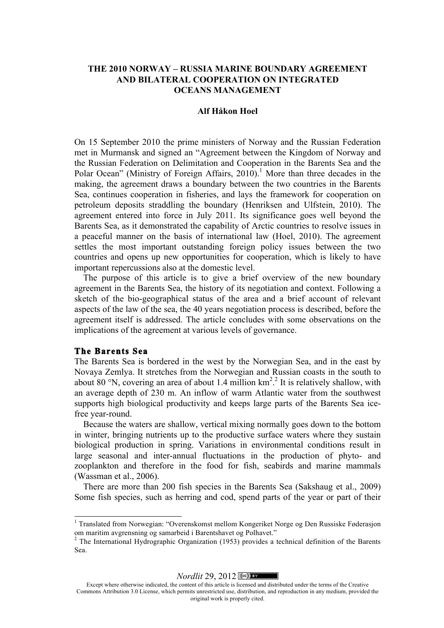# **THE 2010 NORWAY – RUSSIA MARINE BOUNDARY AGREEMENT AND BILATERAL COOPERATION ON INTEGRATED OCEANS MANAGEMENT**

### **Alf Håkon Hoel**

On 15 September 2010 the prime ministers of Norway and the Russian Federation met in Murmansk and signed an "Agreement between the Kingdom of Norway and the Russian Federation on Delimitation and Cooperation in the Barents Sea and the Polar Ocean" (Ministry of Foreign Affairs,  $2010$ ).<sup>1</sup> More than three decades in the making, the agreement draws a boundary between the two countries in the Barents Sea, continues cooperation in fisheries, and lays the framework for cooperation on petroleum deposits straddling the boundary (Henriksen and Ulfstein, 2010). The agreement entered into force in July 2011. Its significance goes well beyond the Barents Sea, as it demonstrated the capability of Arctic countries to resolve issues in a peaceful manner on the basis of international law (Hoel, 2010). The agreement settles the most important outstanding foreign policy issues between the two countries and opens up new opportunities for cooperation, which is likely to have important repercussions also at the domestic level.

The purpose of this article is to give a brief overview of the new boundary agreement in the Barents Sea, the history of its negotiation and context. Following a sketch of the bio-geographical status of the area and a brief account of relevant aspects of the law of the sea, the 40 years negotiation process is described, before the agreement itself is addressed. The article concludes with some observations on the implications of the agreement at various levels of governance.

## **The Barents Sea**

The Barents Sea is bordered in the west by the Norwegian Sea, and in the east by Novaya Zemlya. It stretches from the Norwegian and Russian coasts in the south to about 80 °N, covering an area of about 1.4 million  $km^2$ .<sup>2</sup> It is relatively shallow, with an average depth of 230 m. An inflow of warm Atlantic water from the southwest supports high biological productivity and keeps large parts of the Barents Sea icefree year-round.

Because the waters are shallow, vertical mixing normally goes down to the bottom in winter, bringing nutrients up to the productive surface waters where they sustain biological production in spring. Variations in environmental conditions result in large seasonal and inter-annual fluctuations in the production of phyto- and zooplankton and therefore in the food for fish, seabirds and marine mammals (Wassman et al., 2006).

There are more than 200 fish species in the Barents Sea (Sakshaug et al., 2009) Some fish species, such as herring and cod, spend parts of the year or part of their

*Nordlit* 29, 2012  $\left[\frac{\cosh 2}{}\right]$ 

<sup>1</sup> Translated from Norwegian: "Overenskomst mellom Kongeriket Norge og Den Russiske Føderasjon om maritim avgrensning og samarbeid i Barentshavet og Polhavet."

<sup>2</sup> The International Hydrographic Organization (1953) provides a technical definition of the Barents Sea.

Except where otherwise indicated, the content of this article is licensed and distributed under the terms of the Creative Commons Attribution 3.0 License, which permits unrestricted use, distribution, and reproduction in any medium, provided the original work is properly cited.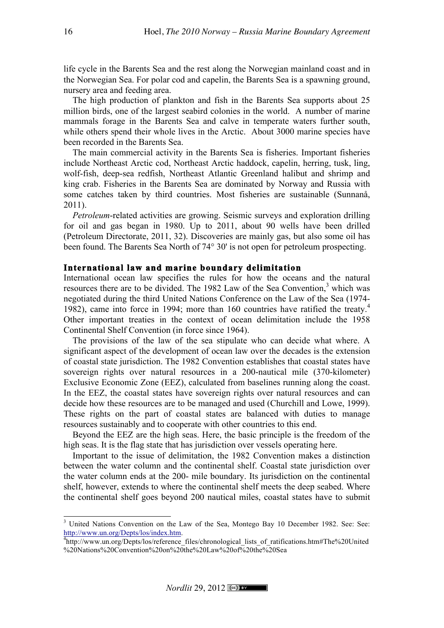life cycle in the Barents Sea and the rest along the Norwegian mainland coast and in the Norwegian Sea. For polar cod and capelin, the Barents Sea is a spawning ground, nursery area and feeding area.

The high production of plankton and fish in the Barents Sea supports about 25 million birds, one of the largest seabird colonies in the world. A number of marine mammals forage in the Barents Sea and calve in temperate waters further south, while others spend their whole lives in the Arctic. About 3000 marine species have been recorded in the Barents Sea.

The main commercial activity in the Barents Sea is fisheries. Important fisheries include Northeast Arctic cod, Northeast Arctic haddock, capelin, herring, tusk, ling, wolf-fish, deep-sea redfish, Northeast Atlantic Greenland halibut and shrimp and king crab. Fisheries in the Barents Sea are dominated by Norway and Russia with some catches taken by third countries. Most fisheries are sustainable (Sunnanå, 2011).

*Petroleum*-related activities are growing. Seismic surveys and exploration drilling for oil and gas began in 1980. Up to 2011, about 90 wells have been drilled (Petroleum Directorate, 2011, 32). Discoveries are mainly gas, but also some oil has been found. The Barents Sea North of 74° 30' is not open for petroleum prospecting.

## **International law and marine boundary delimitation**

International ocean law specifies the rules for how the oceans and the natural resources there are to be divided. The 1982 Law of the Sea Convention, $3$  which was negotiated during the third United Nations Conference on the Law of the Sea (1974- 1982), came into force in 1994; more than 160 countries have ratified the treaty.<sup>4</sup> Other important treaties in the context of ocean delimitation include the 1958 Continental Shelf Convention (in force since 1964).

The provisions of the law of the sea stipulate who can decide what where. A significant aspect of the development of ocean law over the decades is the extension of coastal state jurisdiction. The 1982 Convention establishes that coastal states have sovereign rights over natural resources in a 200-nautical mile (370-kilometer) Exclusive Economic Zone (EEZ), calculated from baselines running along the coast. In the EEZ, the coastal states have sovereign rights over natural resources and can decide how these resources are to be managed and used (Churchill and Lowe, 1999). These rights on the part of coastal states are balanced with duties to manage resources sustainably and to cooperate with other countries to this end.

Beyond the EEZ are the high seas. Here, the basic principle is the freedom of the high seas. It is the flag state that has jurisdiction over vessels operating here.

Important to the issue of delimitation, the 1982 Convention makes a distinction between the water column and the continental shelf. Coastal state jurisdiction over the water column ends at the 200- mile boundary. Its jurisdiction on the continental shelf, however, extends to where the continental shelf meets the deep seabed. Where the continental shelf goes beyond 200 nautical miles, coastal states have to submit

<sup>&</sup>lt;sup>3</sup> United Nations Convention on the Law of the Sea, Montego Bay 10 December 1982. See: See: http://www.un.org/Depts/los/index.htm. <sup>4</sup>

http://www.un.org/Depts/los/reference\_files/chronological\_lists\_of\_ratifications.htm#The%20United %20Nations%20Convention%20on%20the%20Law%20of%20the%20Sea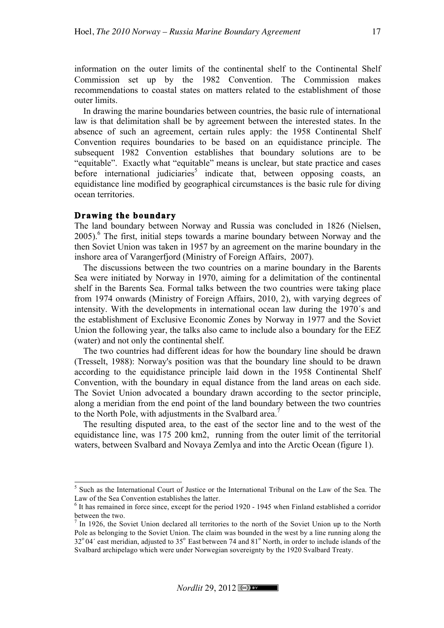information on the outer limits of the continental shelf to the Continental Shelf Commission set up by the 1982 Convention. The Commission makes recommendations to coastal states on matters related to the establishment of those outer limits.

In drawing the marine boundaries between countries, the basic rule of international law is that delimitation shall be by agreement between the interested states. In the absence of such an agreement, certain rules apply: the 1958 Continental Shelf Convention requires boundaries to be based on an equidistance principle. The subsequent 1982 Convention establishes that boundary solutions are to be "equitable". Exactly what "equitable" means is unclear, but state practice and cases before international judiciaries<sup>5</sup> indicate that, between opposing coasts, an equidistance line modified by geographical circumstances is the basic rule for diving ocean territories.

### **Drawing the boundary**

The land boundary between Norway and Russia was concluded in 1826 (Nielsen,  $2005$ .<sup>6</sup> The first, initial steps towards a marine boundary between Norway and the then Soviet Union was taken in 1957 by an agreement on the marine boundary in the inshore area of Varangerfjord (Ministry of Foreign Affairs, 2007).

The discussions between the two countries on a marine boundary in the Barents Sea were initiated by Norway in 1970, aiming for a delimitation of the continental shelf in the Barents Sea. Formal talks between the two countries were taking place from 1974 onwards (Ministry of Foreign Affairs, 2010, 2), with varying degrees of intensity. With the developments in international ocean law during the 1970´s and the establishment of Exclusive Economic Zones by Norway in 1977 and the Soviet Union the following year, the talks also came to include also a boundary for the EEZ (water) and not only the continental shelf.

The two countries had different ideas for how the boundary line should be drawn (Tresselt, 1988): Norway's position was that the boundary line should to be drawn according to the equidistance principle laid down in the 1958 Continental Shelf Convention, with the boundary in equal distance from the land areas on each side. The Soviet Union advocated a boundary drawn according to the sector principle, along a meridian from the end point of the land boundary between the two countries to the North Pole, with adjustments in the Svalbard area.<sup>7</sup>

The resulting disputed area, to the east of the sector line and to the west of the equidistance line, was 175 200 km2, running from the outer limit of the territorial waters, between Svalbard and Novaya Zemlya and into the Arctic Ocean (figure 1).

<sup>5</sup> Such as the International Court of Justice or the International Tribunal on the Law of the Sea. The

Law of the Sea Convention establishes the latter.<br><sup>6</sup> It has remained in force since, except for the period 1920 - 1945 when Finland established a corridor between the two.

In 1926, the Soviet Union declared all territories to the north of the Soviet Union up to the North Pole as belonging to the Soviet Union. The claim was bounded in the west by a line running along the 32°04′ east meridian, adjusted to 35° East between 74 and 81° North, in order to include islands of the Svalbard archipelago which were under Norwegian sovereignty by the 1920 Svalbard Treaty.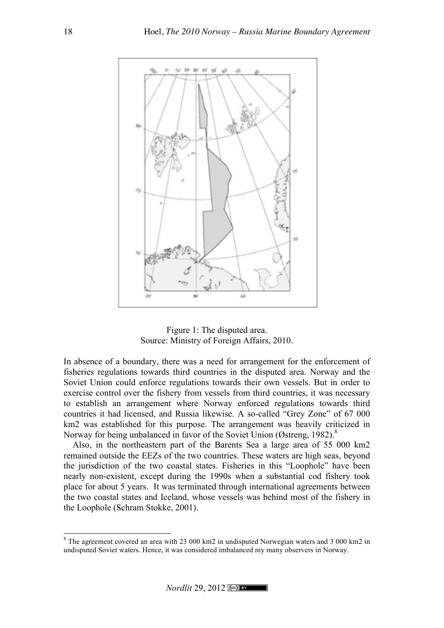



In absence of a boundary, there was a need for arrangement for the enforcement of fisheries regulations towards third countries in the disputed area. Norway and the Soviet Union could enforce regulations towards their own vessels. But in order to exercise control over the fishery from vessels from third countries, it was necessary to establish an arrangement where Norway enforced regulations towards third countries it had licensed, and Russia likewise. A so-called "Grey Zone" of 67 000 km2 was established for this purpose. The arrangement was heavily criticized in Norway for being unbalanced in favor of the Soviet Union (Østreng, 1982).<sup>8</sup>

Also, in the northeastern part of the Barents Sea a large area of 55 000 km2 remained outside the EEZs of the two countries. These waters are high seas, beyond the jurisdiction of the two coastal states. Fisheries in this "Loophole" have been nearly non-existent, except during the 1990s when a substantial cod fishery took place for about 5 years. It was terminated through international agreements between the two coastal states and Iceland, whose vessels was behind most of the fishery in the Loophole (Schram Stokke, 2001).

 $8$  The agreement covered an area with 23 000 km2 in undisputed Norwegian waters and 3 000 km2 in undisputed Soviet waters. Hence, it was considered imbalanced my many observers in Norway.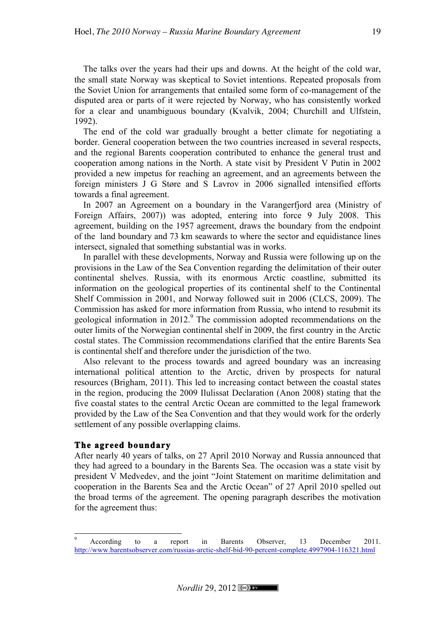The talks over the years had their ups and downs. At the height of the cold war, the small state Norway was skeptical to Soviet intentions. Repeated proposals from the Soviet Union for arrangements that entailed some form of co-management of the disputed area or parts of it were rejected by Norway, who has consistently worked for a clear and unambiguous boundary (Kvalvik, 2004; Churchill and Ulfstein, 1992).

The end of the cold war gradually brought a better climate for negotiating a border. General cooperation between the two countries increased in several respects, and the regional Barents cooperation contributed to enhance the general trust and cooperation among nations in the North. A state visit by President V Putin in 2002 provided a new impetus for reaching an agreement, and an agreements between the foreign ministers J G Støre and S Lavrov in 2006 signalled intensified efforts towards a final agreement.

In 2007 an Agreement on a boundary in the Varangerfjord area (Ministry of Foreign Affairs, 2007)) was adopted, entering into force 9 July 2008. This agreement, building on the 1957 agreement, draws the boundary from the endpoint of the land boundary and 73 km seawards to where the sector and equidistance lines intersect, signaled that something substantial was in works.

In parallel with these developments, Norway and Russia were following up on the provisions in the Law of the Sea Convention regarding the delimitation of their outer continental shelves. Russia, with its enormous Arctic coastline, submitted its information on the geological properties of its continental shelf to the Continental Shelf Commission in 2001, and Norway followed suit in 2006 (CLCS, 2009). The Commission has asked for more information from Russia, who intend to resubmit its geological information in  $2012<sup>9</sup>$ . The commission adopted recommendations on the outer limits of the Norwegian continental shelf in 2009, the first country in the Arctic costal states. The Commission recommendations clarified that the entire Barents Sea is continental shelf and therefore under the jurisdiction of the two.

Also relevant to the process towards and agreed boundary was an increasing international political attention to the Arctic, driven by prospects for natural resources (Brigham, 2011). This led to increasing contact between the coastal states in the region, producing the 2009 Ilulissat Declaration (Anon 2008) stating that the five coastal states to the central Arctic Ocean are committed to the legal framework provided by the Law of the Sea Convention and that they would work for the orderly settlement of any possible overlapping claims.

# **The agreed boundary**

After nearly 40 years of talks, on 27 April 2010 Norway and Russia announced that they had agreed to a boundary in the Barents Sea. The occasion was a state visit by president V Medvedev, and the joint "Joint Statement on maritime delimitation and cooperation in the Barents Sea and the Arctic Ocean" of 27 April 2010 spelled out the broad terms of the agreement. The opening paragraph describes the motivation for the agreement thus:

<sup>&</sup>lt;sup>9</sup> According to a report in Barents Observer, 13 December 2011. http://www.barentsobserver.com/russias-arctic-shelf-bid-90-percent-complete.4997904-116321.html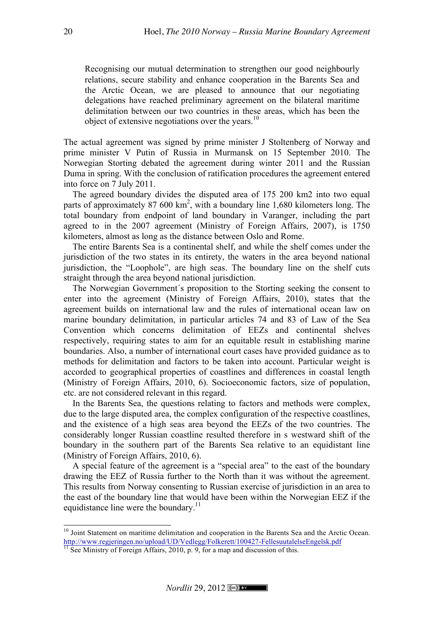Recognising our mutual determination to strengthen our good neighbourly relations, secure stability and enhance cooperation in the Barents Sea and the Arctic Ocean, we are pleased to announce that our negotiating delegations have reached preliminary agreement on the bilateral maritime delimitation between our two countries in these areas, which has been the object of extensive negotiations over the years. $^{10}$ 

The actual agreement was signed by prime minister J Stoltenberg of Norway and prime minister V Putin of Russia in Murmansk on 15 September 2010. The Norwegian Storting debated the agreement during winter 2011 and the Russian Duma in spring. With the conclusion of ratification procedures the agreement entered into force on 7 July 2011.

The agreed boundary divides the disputed area of 175 200 km2 into two equal parts of approximately 87 600 km<sup>2</sup>, with a boundary line 1,680 kilometers long. The total boundary from endpoint of land boundary in Varanger, including the part agreed to in the 2007 agreement (Ministry of Foreign Affairs, 2007), is 1750 kilometers, almost as long as the distance between Oslo and Rome.

The entire Barents Sea is a continental shelf, and while the shelf comes under the jurisdiction of the two states in its entirety, the waters in the area beyond national jurisdiction, the "Loophole", are high seas. The boundary line on the shelf cuts straight through the area beyond national jurisdiction.

The Norwegian Government´s proposition to the Storting seeking the consent to enter into the agreement (Ministry of Foreign Affairs, 2010), states that the agreement builds on international law and the rules of international ocean law on marine boundary delimitation, in particular articles 74 and 83 of Law of the Sea Convention which concerns delimitation of EEZs and continental shelves respectively, requiring states to aim for an equitable result in establishing marine boundaries. Also, a number of international court cases have provided guidance as to methods for delimitation and factors to be taken into account. Particular weight is accorded to geographical properties of coastlines and differences in coastal length (Ministry of Foreign Affairs, 2010, 6). Socioeconomic factors, size of population, etc. are not considered relevant in this regard.

In the Barents Sea, the questions relating to factors and methods were complex, due to the large disputed area, the complex configuration of the respective coastlines, and the existence of a high seas area beyond the EEZs of the two countries. The considerably longer Russian coastline resulted therefore in s westward shift of the boundary in the southern part of the Barents Sea relative to an equidistant line (Ministry of Foreign Affairs, 2010, 6).

A special feature of the agreement is a "special area" to the east of the boundary drawing the EEZ of Russia further to the North than it was without the agreement. This results from Norway consenting to Russian exercise of jurisdiction in an area to the east of the boundary line that would have been within the Norwegian EEZ if the equidistance line were the boundary.<sup>11</sup>

<sup>&</sup>lt;sup>10</sup> Joint Statement on maritime delimitation and cooperation in the Barents Sea and the Arctic Ocean. http://www.regjeringen.no/upload/UD/Vedlegg/Folkerett/100427-FellesuutalelseEngelsk.pdf<br><sup>11</sup> See Ministry of Foreign Affairs, 2010, p. 9, for a map and discussion of this.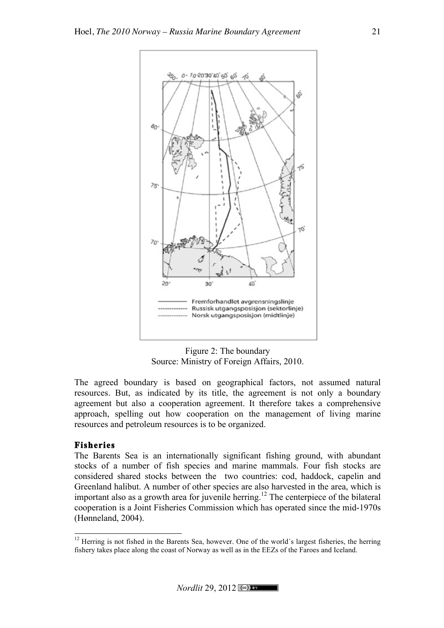

Figure 2: The boundary Source: Ministry of Foreign Affairs, 2010.

The agreed boundary is based on geographical factors, not assumed natural resources. But, as indicated by its title, the agreement is not only a boundary agreement but also a cooperation agreement. It therefore takes a comprehensive approach, spelling out how cooperation on the management of living marine resources and petroleum resources is to be organized.

# **Fisheries**

The Barents Sea is an internationally significant fishing ground, with abundant stocks of a number of fish species and marine mammals. Four fish stocks are considered shared stocks between the two countries: cod, haddock, capelin and Greenland halibut. A number of other species are also harvested in the area, which is important also as a growth area for juvenile herring.<sup>12</sup> The centerpiece of the bilateral cooperation is a Joint Fisheries Commission which has operated since the mid-1970s (Hønneland, 2004).

 $\frac{12}{12}$  Herring is not fished in the Barents Sea, however. One of the world's largest fisheries, the herring fishery takes place along the coast of Norway as well as in the EEZs of the Faroes and Iceland.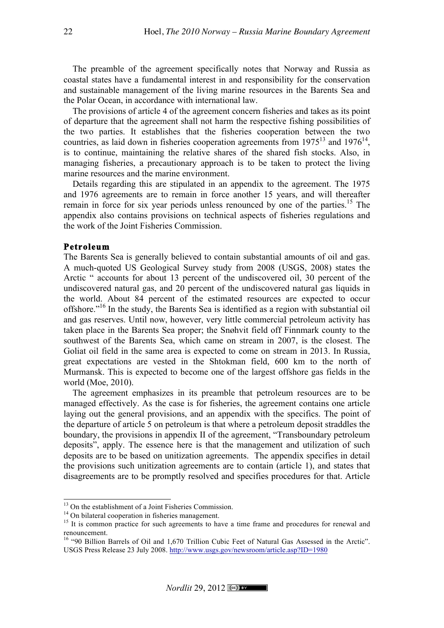The preamble of the agreement specifically notes that Norway and Russia as coastal states have a fundamental interest in and responsibility for the conservation and sustainable management of the living marine resources in the Barents Sea and the Polar Ocean, in accordance with international law.

The provisions of article 4 of the agreement concern fisheries and takes as its point of departure that the agreement shall not harm the respective fishing possibilities of the two parties. It establishes that the fisheries cooperation between the two countries, as laid down in fisheries cooperation agreements from  $1975^{13}$  and  $1976^{14}$ , is to continue, maintaining the relative shares of the shared fish stocks. Also, in managing fisheries, a precautionary approach is to be taken to protect the living marine resources and the marine environment.

Details regarding this are stipulated in an appendix to the agreement. The 1975 and 1976 agreements are to remain in force another 15 years, and will thereafter remain in force for six year periods unless renounced by one of the parties.<sup>15</sup> The appendix also contains provisions on technical aspects of fisheries regulations and the work of the Joint Fisheries Commission.

#### **Petroleum**

The Barents Sea is generally believed to contain substantial amounts of oil and gas. A much-quoted US Geological Survey study from 2008 (USGS, 2008) states the Arctic " accounts for about 13 percent of the undiscovered oil, 30 percent of the undiscovered natural gas, and 20 percent of the undiscovered natural gas liquids in the world. About 84 percent of the estimated resources are expected to occur offshore."16 In the study, the Barents Sea is identified as a region with substantial oil and gas reserves. Until now, however, very little commercial petroleum activity has taken place in the Barents Sea proper; the Snøhvit field off Finnmark county to the southwest of the Barents Sea, which came on stream in 2007, is the closest. The Goliat oil field in the same area is expected to come on stream in 2013. In Russia, great expectations are vested in the Shtokman field, 600 km to the north of Murmansk. This is expected to become one of the largest offshore gas fields in the world (Moe, 2010).

The agreement emphasizes in its preamble that petroleum resources are to be managed effectively. As the case is for fisheries, the agreement contains one article laying out the general provisions, and an appendix with the specifics. The point of the departure of article 5 on petroleum is that where a petroleum deposit straddles the boundary, the provisions in appendix II of the agreement, "Transboundary petroleum deposits", apply. The essence here is that the management and utilization of such deposits are to be based on unitization agreements. The appendix specifies in detail the provisions such unitization agreements are to contain (article 1), and states that disagreements are to be promptly resolved and specifies procedures for that. Article

<sup>&</sup>lt;sup>13</sup> On the establishment of a Joint Fisheries Commission.<br><sup>14</sup> On bilateral cooperation in fisheries management.<br><sup>15</sup> It is common practice for such agreements to have a time frame and procedures for renewal and renouncement.

<sup>&</sup>lt;sup>16</sup> "90 Billion Barrels of Oil and 1,670 Trillion Cubic Feet of Natural Gas Assessed in the Arctic". USGS Press Release 23 July 2008. http://www.usgs.gov/newsroom/article.asp?ID=1980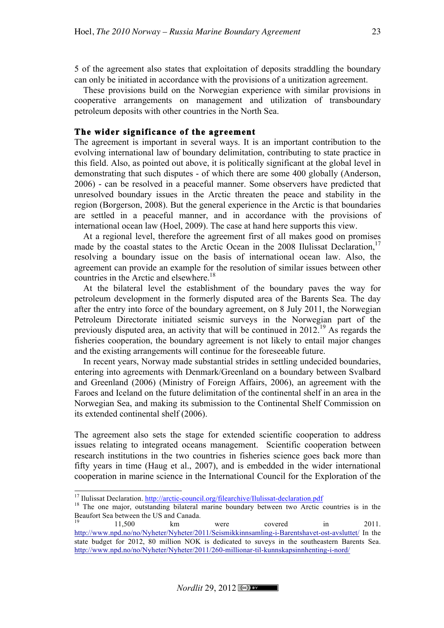5 of the agreement also states that exploitation of deposits straddling the boundary can only be initiated in accordance with the provisions of a unitization agreement.

These provisions build on the Norwegian experience with similar provisions in cooperative arrangements on management and utilization of transboundary petroleum deposits with other countries in the North Sea.

## **The wider significance of the agreement**

The agreement is important in several ways. It is an important contribution to the evolving international law of boundary delimitation, contributing to state practice in this field. Also, as pointed out above, it is politically significant at the global level in demonstrating that such disputes - of which there are some 400 globally (Anderson, 2006) - can be resolved in a peaceful manner. Some observers have predicted that unresolved boundary issues in the Arctic threaten the peace and stability in the region (Borgerson, 2008). But the general experience in the Arctic is that boundaries are settled in a peaceful manner, and in accordance with the provisions of international ocean law (Hoel, 2009). The case at hand here supports this view.

At a regional level, therefore the agreement first of all makes good on promises made by the coastal states to the Arctic Ocean in the  $2008$  Ilulissat Declaration.<sup>17</sup> resolving a boundary issue on the basis of international ocean law. Also, the agreement can provide an example for the resolution of similar issues between other countries in the Arctic and elsewhere.<sup>18</sup>

At the bilateral level the establishment of the boundary paves the way for petroleum development in the formerly disputed area of the Barents Sea. The day after the entry into force of the boundary agreement, on 8 July 2011, the Norwegian Petroleum Directorate initiated seismic surveys in the Norwegian part of the previously disputed area, an activity that will be continued in  $2012<sup>19</sup>$  As regards the fisheries cooperation, the boundary agreement is not likely to entail major changes and the existing arrangements will continue for the foreseeable future.

In recent years, Norway made substantial strides in settling undecided boundaries, entering into agreements with Denmark/Greenland on a boundary between Svalbard and Greenland (2006) (Ministry of Foreign Affairs, 2006), an agreement with the Faroes and Iceland on the future delimitation of the continental shelf in an area in the Norwegian Sea, and making its submission to the Continental Shelf Commission on its extended continental shelf (2006).

The agreement also sets the stage for extended scientific cooperation to address issues relating to integrated oceans management. Scientific cooperation between research institutions in the two countries in fisheries science goes back more than fifty years in time (Haug et al., 2007), and is embedded in the wider international cooperation in marine science in the International Council for the Exploration of the

<sup>&</sup>lt;sup>17</sup> Ilulissat Declaration. http://arctic-council.org/filearchive/Ilulissat-declaration.pdf  $18$  The one major, outstanding bilateral marine boundary between two Arctic countries is in the Beaufort Sea between the US and Canada.<br>19<br>11.500 km

 $19$  11,500 km were covered in 2011. http://www.npd.no/no/Nyheter/Nyheter/2011/Seismikkinnsamling-i-Barentshavet-ost-avsluttet/ In the state budget for 2012, 80 million NOK is dedicated to suveys in the southeastern Barents Sea. http://www.npd.no/no/Nyheter/Nyheter/2011/260-millionar-til-kunnskapsinnhenting-i-nord/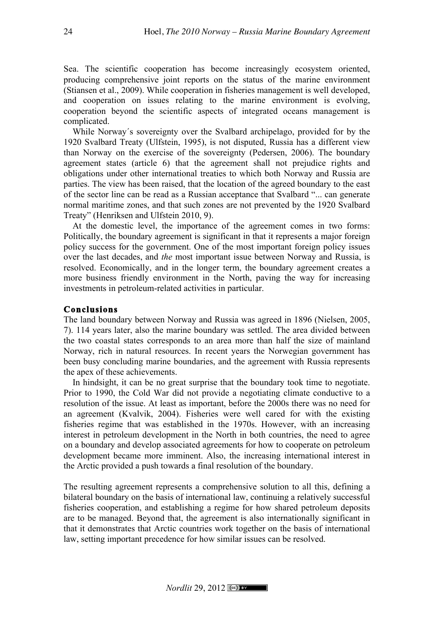Sea. The scientific cooperation has become increasingly ecosystem oriented, producing comprehensive joint reports on the status of the marine environment (Stiansen et al., 2009). While cooperation in fisheries management is well developed, and cooperation on issues relating to the marine environment is evolving, cooperation beyond the scientific aspects of integrated oceans management is complicated.

While Norway´s sovereignty over the Svalbard archipelago, provided for by the 1920 Svalbard Treaty (Ulfstein, 1995), is not disputed, Russia has a different view than Norway on the exercise of the sovereignty (Pedersen, 2006). The boundary agreement states (article 6) that the agreement shall not prejudice rights and obligations under other international treaties to which both Norway and Russia are parties. The view has been raised, that the location of the agreed boundary to the east of the sector line can be read as a Russian acceptance that Svalbard "... can generate normal maritime zones, and that such zones are not prevented by the 1920 Svalbard Treaty" (Henriksen and Ulfstein 2010, 9).

At the domestic level, the importance of the agreement comes in two forms: Politically, the boundary agreement is significant in that it represents a major foreign policy success for the government. One of the most important foreign policy issues over the last decades, and *the* most important issue between Norway and Russia, is resolved. Economically, and in the longer term, the boundary agreement creates a more business friendly environment in the North, paving the way for increasing investments in petroleum-related activities in particular.

# **Conclusions**

The land boundary between Norway and Russia was agreed in 1896 (Nielsen, 2005, 7). 114 years later, also the marine boundary was settled. The area divided between the two coastal states corresponds to an area more than half the size of mainland Norway, rich in natural resources. In recent years the Norwegian government has been busy concluding marine boundaries, and the agreement with Russia represents the apex of these achievements.

In hindsight, it can be no great surprise that the boundary took time to negotiate. Prior to 1990, the Cold War did not provide a negotiating climate conductive to a resolution of the issue. At least as important, before the 2000s there was no need for an agreement (Kvalvik, 2004). Fisheries were well cared for with the existing fisheries regime that was established in the 1970s. However, with an increasing interest in petroleum development in the North in both countries, the need to agree on a boundary and develop associated agreements for how to cooperate on petroleum development became more imminent. Also, the increasing international interest in the Arctic provided a push towards a final resolution of the boundary.

The resulting agreement represents a comprehensive solution to all this, defining a bilateral boundary on the basis of international law, continuing a relatively successful fisheries cooperation, and establishing a regime for how shared petroleum deposits are to be managed. Beyond that, the agreement is also internationally significant in that it demonstrates that Arctic countries work together on the basis of international law, setting important precedence for how similar issues can be resolved.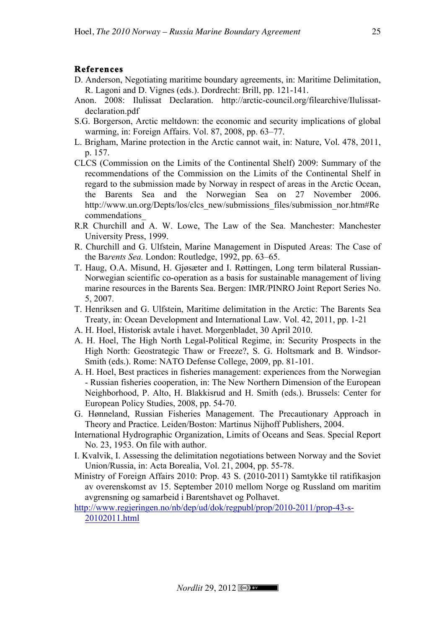## **References**

- D. Anderson, Negotiating maritime boundary agreements, in: Maritime Delimitation, R. Lagoni and D. Vignes (eds.). Dordrecht: Brill, pp. 121-141.
- Anon. 2008: Ilulissat Declaration. http://arctic-council.org/filearchive/Ilulissatdeclaration.pdf
- S.G. Borgerson, Arctic meltdown: the economic and security implications of global warming, in: Foreign Affairs. Vol. 87, 2008, pp. 63–77.
- L. Brigham, Marine protection in the Arctic cannot wait, in: Nature, Vol. 478, 2011, p. 157.
- CLCS (Commission on the Limits of the Continental Shelf) 2009: Summary of the recommendations of the Commission on the Limits of the Continental Shelf in regard to the submission made by Norway in respect of areas in the Arctic Ocean, the Barents Sea and the Norwegian Sea on 27 November 2006. http://www.un.org/Depts/los/clcs\_new/submissions\_files/submission\_nor.htm#Re commendations\_
- R.R Churchill and A. W. Lowe, The Law of the Sea. Manchester: Manchester University Press, 1999.
- R. Churchill and G. Ulfstein, Marine Management in Disputed Areas: The Case of the Ba*rents Sea.* London: Routledge, 1992, pp. 63–65.
- T. Haug, O.A. Misund, H. Gjøsæter and I. Røttingen, Long term bilateral Russian-Norwegian scientific co-operation as a basis for sustainable management of living marine resources in the Barents Sea. Bergen: IMR/PINRO Joint Report Series No. 5, 2007.
- T. Henriksen and G. Ulfstein, Maritime delimitation in the Arctic: The Barents Sea Treaty, in: Ocean Development and International Law. Vol. 42, 2011, pp. 1-21
- A. H. Hoel, Historisk avtale i havet. Morgenbladet, 30 April 2010.
- A. H. Hoel, The High North Legal-Political Regime, in: Security Prospects in the High North: Geostrategic Thaw or Freeze?, S. G. Holtsmark and B. Windsor-Smith (eds.). Rome: NATO Defense College, 2009, pp. 81-101.
- A. H. Hoel, Best practices in fisheries management: experiences from the Norwegian - Russian fisheries cooperation, in: The New Northern Dimension of the European Neighborhood, P. Alto, H. Blakkisrud and H. Smith (eds.). Brussels: Center for European Policy Studies, 2008, pp. 54-70.
- G. Hønneland, Russian Fisheries Management. The Precautionary Approach in Theory and Practice. Leiden/Boston: Martinus Nijhoff Publishers, 2004.
- International Hydrographic Organization, Limits of Oceans and Seas. Special Report No. 23, 1953. On file with author.
- I. Kvalvik, I. Assessing the delimitation negotiations between Norway and the Soviet Union/Russia, in: Acta Borealia, Vol. 21, 2004, pp. 55-78.
- Ministry of Foreign Affairs 2010: Prop. 43 S. (2010-2011) Samtykke til ratifikasjon av overenskomst av 15. September 2010 mellom Norge og Russland om maritim avgrensning og samarbeid i Barentshavet og Polhavet.
- http://www.regjeringen.no/nb/dep/ud/dok/regpubl/prop/2010-2011/prop-43-s-20102011.html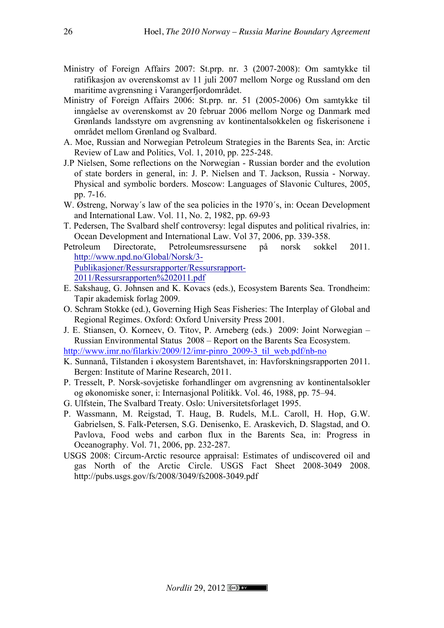- Ministry of Foreign Affairs 2007: St.prp. nr. 3 (2007-2008): Om samtykke til ratifikasjon av overenskomst av 11 juli 2007 mellom Norge og Russland om den maritime avgrensning i Varangerfjordområdet.
- Ministry of Foreign Affairs 2006: St.prp. nr. 51 (2005-2006) Om samtykke til inngåelse av overenskomst av 20 februar 2006 mellom Norge og Danmark med Grønlands landsstyre om avgrensning av kontinentalsokkelen og fiskerisonene i området mellom Grønland og Svalbard.
- A. Moe, Russian and Norwegian Petroleum Strategies in the Barents Sea, in: Arctic Review of Law and Politics, Vol. 1, 2010, pp. 225-248.
- J.P Nielsen, Some reflections on the Norwegian Russian border and the evolution of state borders in general, in: J. P. Nielsen and T. Jackson, Russia - Norway. Physical and symbolic borders. Moscow: Languages of Slavonic Cultures, 2005, pp. 7-16.
- W. Østreng, Norway's law of the sea policies in the 1970's, in: Ocean Development and International Law. Vol. 11, No. 2, 1982, pp. 69-93
- T. Pedersen, The Svalbard shelf controversy: legal disputes and political rivalries, in: Ocean Development and International Law. Vol 37, 2006, pp. 339-358.
- Petroleum Directorate, Petroleumsressursene på norsk sokkel 2011. http://www.npd.no/Global/Norsk/3- Publikasjoner/Ressursrapporter/Ressursrapport-

2011/Ressursrapporten%202011.pdf

- E. Sakshaug, G. Johnsen and K. Kovacs (eds.), Ecosystem Barents Sea. Trondheim: Tapir akademisk forlag 2009.
- O. Schram Stokke (ed.), Governing High Seas Fisheries: The Interplay of Global and Regional Regimes. Oxford: Oxford University Press 2001.
- J. E. Stiansen, O. Korneev, O. Titov, P. Arneberg (eds.) 2009: Joint Norwegian Russian Environmental Status 2008 – Report on the Barents Sea Ecosystem.

http://www.imr.no/filarkiv/2009/12/imr-pinro\_2009-3\_til\_web.pdf/nb-no

- K. Sunnanå, Tilstanden i økosystem Barentshavet, in: Havforskningsrapporten 2011. Bergen: Institute of Marine Research, 2011.
- P. Tresselt, P. Norsk-sovjetiske forhandlinger om avgrensning av kontinentalsokler og økonomiske soner, i: Internasjonal Politikk. Vol. 46, 1988, pp. 75–94.
- G. Ulfstein, The Svalbard Treaty. Oslo: Universitetsforlaget 1995.
- P. Wassmann, M. Reigstad, T. Haug, B. Rudels, M.L. Caroll, H. Hop, G.W. Gabrielsen, S. Falk-Petersen, S.G. Denisenko, E. Araskevich, D. Slagstad, and O. Pavlova, Food webs and carbon flux in the Barents Sea, in: Progress in Oceanography. Vol. 71, 2006, pp. 232-287.
- USGS 2008: Circum-Arctic resource appraisal: Estimates of undiscovered oil and gas North of the Arctic Circle. USGS Fact Sheet 2008-3049 2008. http://pubs.usgs.gov/fs/2008/3049/fs2008-3049.pdf